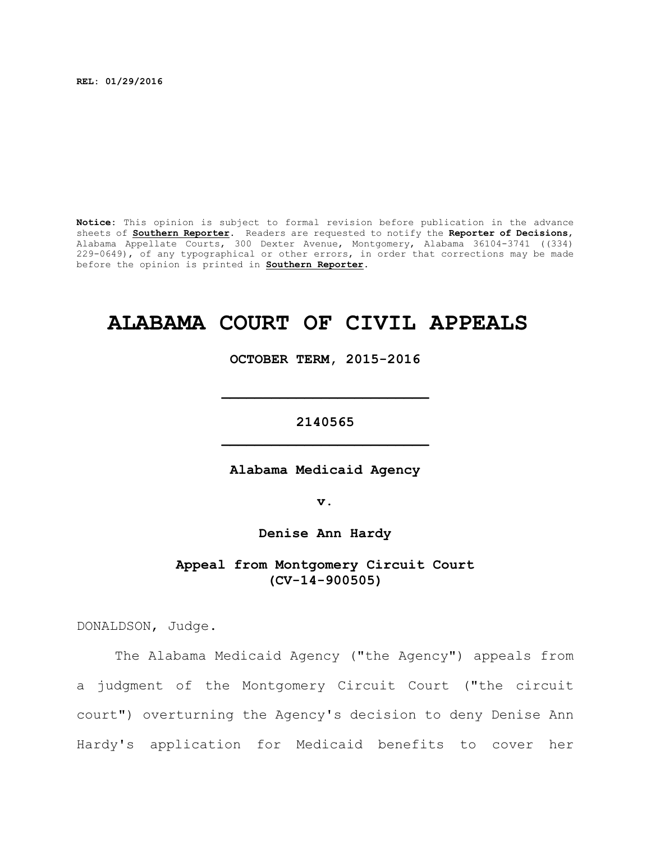**REL: 01/29/2016**

**Notice:** This opinion is subject to formal revision before publication in the advance sheets of **Southern Reporter**. Readers are requested to notify the **Reporter of Decisions**, Alabama Appellate Courts, 300 Dexter Avenue, Montgomery, Alabama 36104-3741 ((334) 229-0649), of any typographical or other errors, in order that corrections may be made before the opinion is printed in **Southern Reporter**.

# **ALABAMA COURT OF CIVIL APPEALS**

**OCTOBER TERM, 2015-2016**

**\_\_\_\_\_\_\_\_\_\_\_\_\_\_\_\_\_\_\_\_\_\_\_\_\_**

**2140565 \_\_\_\_\_\_\_\_\_\_\_\_\_\_\_\_\_\_\_\_\_\_\_\_\_**

**Alabama Medicaid Agency**

**v.**

**Denise Ann Hardy**

**Appeal from Montgomery Circuit Court (CV-14-900505)**

DONALDSON, Judge.

The Alabama Medicaid Agency ("the Agency") appeals from a judgment of the Montgomery Circuit Court ("the circuit court") overturning the Agency's decision to deny Denise Ann Hardy's application for Medicaid benefits to cover her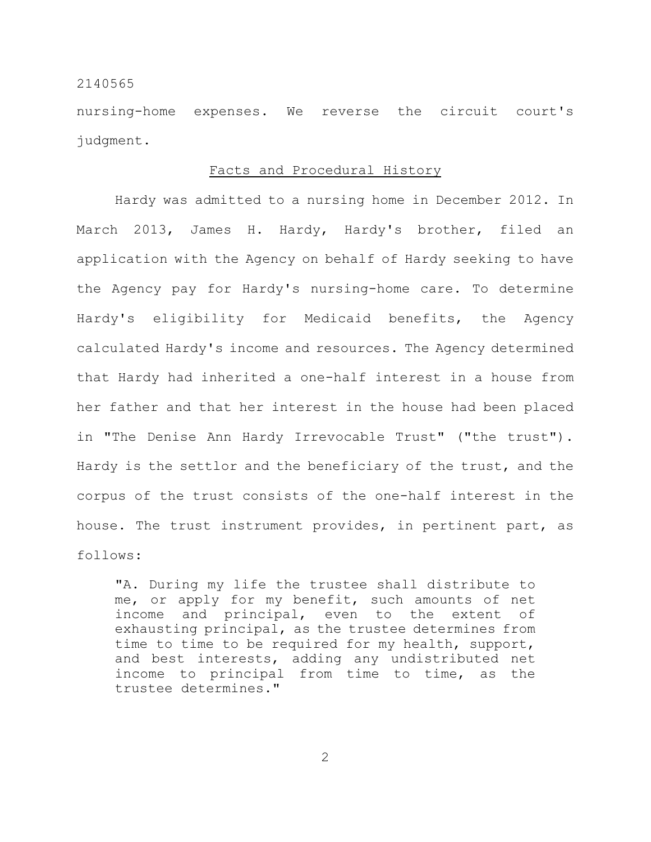nursing-home expenses. We reverse the circuit court's judgment.

## Facts and Procedural History

Hardy was admitted to a nursing home in December 2012. In March 2013, James H. Hardy, Hardy's brother, filed an application with the Agency on behalf of Hardy seeking to have the Agency pay for Hardy's nursing-home care. To determine Hardy's eligibility for Medicaid benefits, the Agency calculated Hardy's income and resources. The Agency determined that Hardy had inherited a one-half interest in a house from her father and that her interest in the house had been placed in "The Denise Ann Hardy Irrevocable Trust" ("the trust"). Hardy is the settlor and the beneficiary of the trust, and the corpus of the trust consists of the one-half interest in the house. The trust instrument provides, in pertinent part, as follows:

"A. During my life the trustee shall distribute to me, or apply for my benefit, such amounts of net income and principal, even to the extent of exhausting principal, as the trustee determines from time to time to be required for my health, support, and best interests, adding any undistributed net income to principal from time to time, as the trustee determines."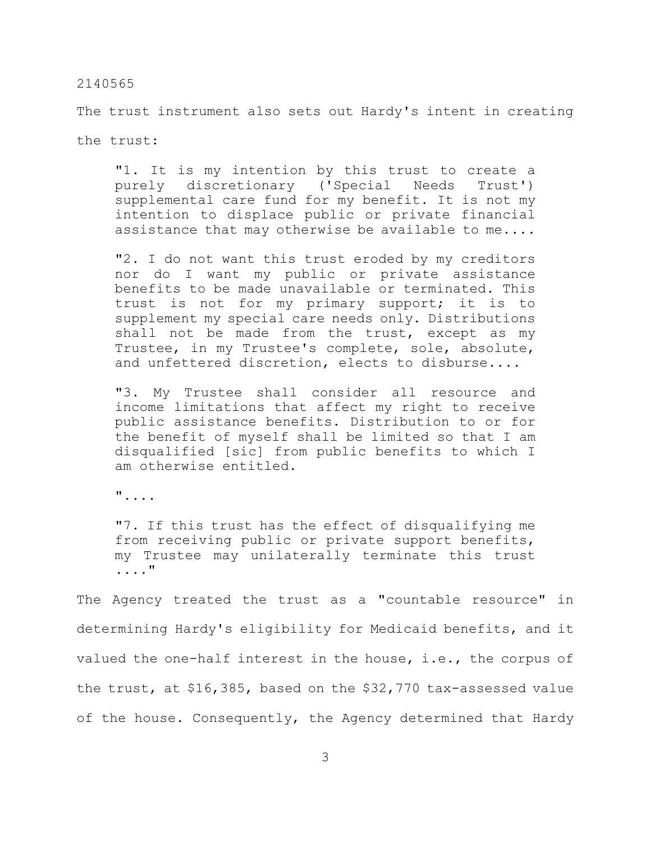The trust instrument also sets out Hardy's intent in creating

the trust:

"1. It is my intention by this trust to create a purely discretionary ('Special Needs Trust') supplemental care fund for my benefit. It is not my intention to displace public or private financial assistance that may otherwise be available to me....

"2. I do not want this trust eroded by my creditors nor do I want my public or private assistance benefits to be made unavailable or terminated. This trust is not for my primary support; it is to supplement my special care needs only. Distributions shall not be made from the trust, except as my Trustee, in my Trustee's complete, sole, absolute, and unfettered discretion, elects to disburse....

"3. My Trustee shall consider all resource and income limitations that affect my right to receive public assistance benefits. Distribution to or for the benefit of myself shall be limited so that I am disqualified [sic] from public benefits to which I am otherwise entitled.

"....

"7. If this trust has the effect of disqualifying me from receiving public or private support benefits, my Trustee may unilaterally terminate this trust ...."

The Agency treated the trust as a "countable resource" in determining Hardy's eligibility for Medicaid benefits, and it valued the one-half interest in the house, i.e., the corpus of the trust, at \$16,385, based on the \$32,770 tax-assessed value of the house. Consequently, the Agency determined that Hardy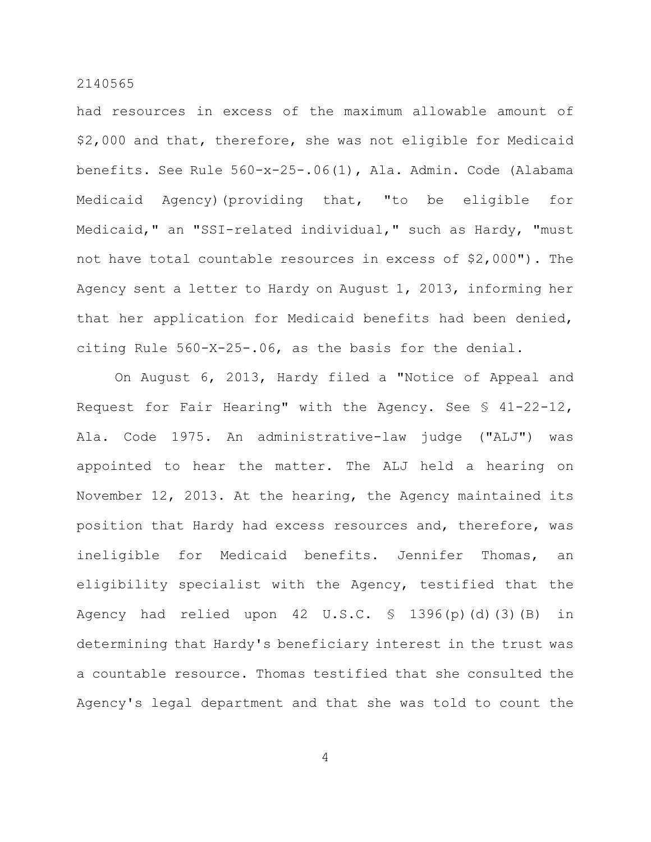had resources in excess of the maximum allowable amount of \$2,000 and that, therefore, she was not eligible for Medicaid benefits. See Rule 560-x-25-.06(1), Ala. Admin. Code (Alabama Medicaid Agency)(providing that, "to be eligible for Medicaid," an "SSI-related individual," such as Hardy, "must not have total countable resources in excess of \$2,000"). The Agency sent a letter to Hardy on August 1, 2013, informing her that her application for Medicaid benefits had been denied, citing Rule 560-X-25-.06, as the basis for the denial.

On August 6, 2013, Hardy filed a "Notice of Appeal and Request for Fair Hearing" with the Agency. See § 41-22-12, Ala. Code 1975. An administrative-law judge ("ALJ") was appointed to hear the matter. The ALJ held a hearing on November 12, 2013. At the hearing, the Agency maintained its position that Hardy had excess resources and, therefore, was ineligible for Medicaid benefits. Jennifer Thomas, an eligibility specialist with the Agency, testified that the Agency had relied upon  $42 \text{ U.S.C. }$  \$  $1396(p)$  (d)(3)(B) in determining that Hardy's beneficiary interest in the trust was a countable resource. Thomas testified that she consulted the Agency's legal department and that she was told to count the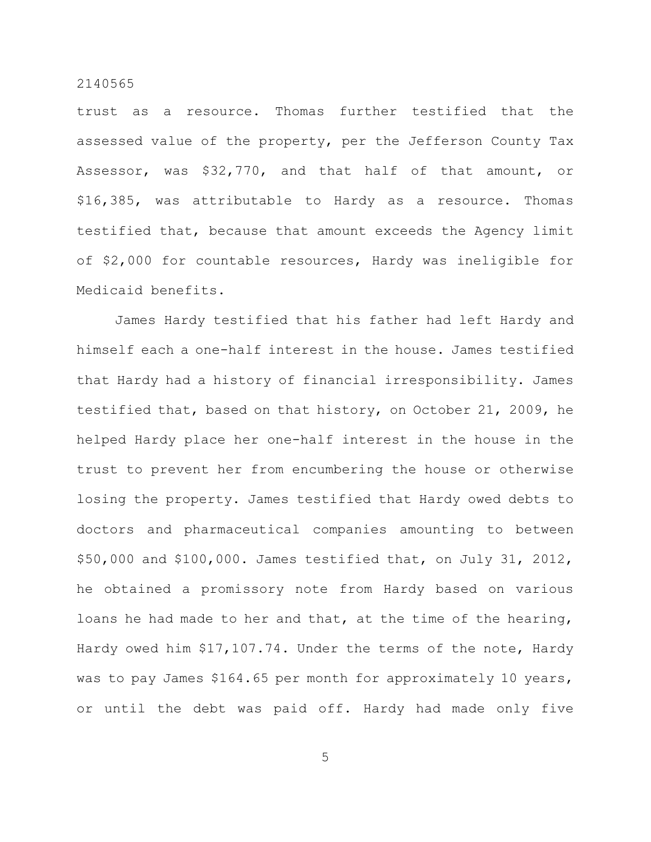trust as a resource. Thomas further testified that the assessed value of the property, per the Jefferson County Tax Assessor, was \$32,770, and that half of that amount, or \$16,385, was attributable to Hardy as a resource. Thomas testified that, because that amount exceeds the Agency limit of \$2,000 for countable resources, Hardy was ineligible for Medicaid benefits.

James Hardy testified that his father had left Hardy and himself each a one-half interest in the house. James testified that Hardy had a history of financial irresponsibility. James testified that, based on that history, on October 21, 2009, he helped Hardy place her one-half interest in the house in the trust to prevent her from encumbering the house or otherwise losing the property. James testified that Hardy owed debts to doctors and pharmaceutical companies amounting to between \$50,000 and \$100,000. James testified that, on July 31, 2012, he obtained a promissory note from Hardy based on various loans he had made to her and that, at the time of the hearing, Hardy owed him \$17,107.74. Under the terms of the note, Hardy was to pay James \$164.65 per month for approximately 10 years, or until the debt was paid off. Hardy had made only five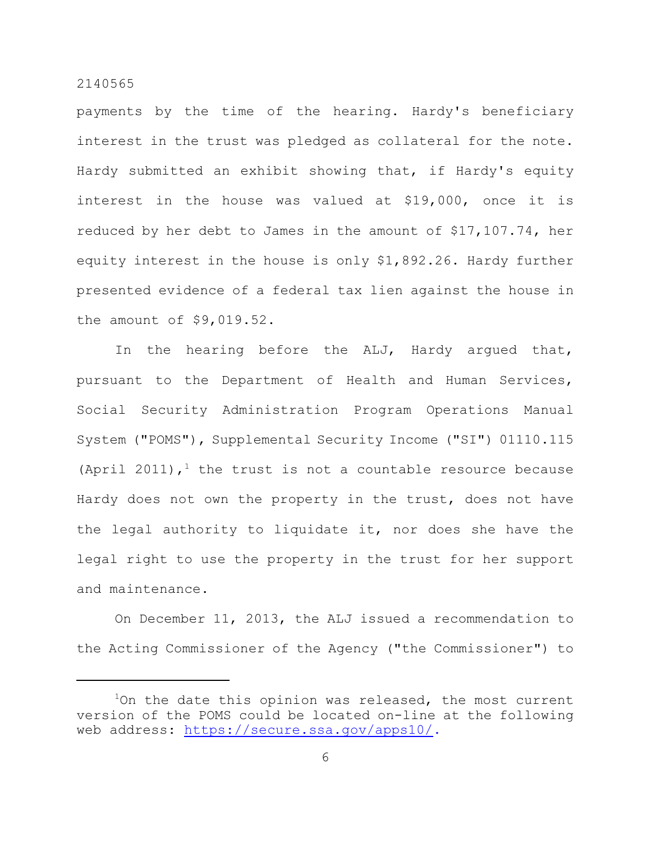payments by the time of the hearing. Hardy's beneficiary interest in the trust was pledged as collateral for the note. Hardy submitted an exhibit showing that, if Hardy's equity interest in the house was valued at \$19,000, once it is reduced by her debt to James in the amount of \$17,107.74, her equity interest in the house is only \$1,892.26. Hardy further presented evidence of a federal tax lien against the house in the amount of \$9,019.52.

In the hearing before the ALJ, Hardy argued that, pursuant to the Department of Health and Human Services, Social Security Administration Program Operations Manual System ("POMS"), Supplemental Security Income ("SI") 01110.115 (April 2011),<sup>1</sup> the trust is not a countable resource because Hardy does not own the property in the trust, does not have the legal authority to liquidate it, nor does she have the legal right to use the property in the trust for her support and maintenance.

On December 11, 2013, the ALJ issued a recommendation to the Acting Commissioner of the Agency ("the Commissioner") to

 $1$ On the date this opinion was released, the most current version of the POMS could be located on-line at the following web address: [https://secure.ssa.gov/apps10/.](https://secure.ssa.gov/apps10/)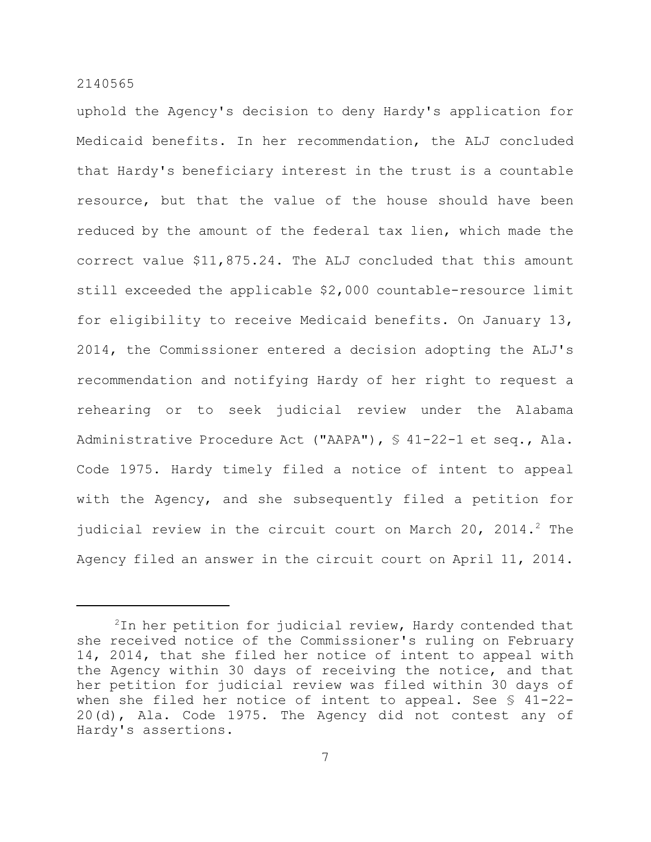uphold the Agency's decision to deny Hardy's application for Medicaid benefits. In her recommendation, the ALJ concluded that Hardy's beneficiary interest in the trust is a countable resource, but that the value of the house should have been reduced by the amount of the federal tax lien, which made the correct value \$11,875.24. The ALJ concluded that this amount still exceeded the applicable \$2,000 countable-resource limit for eligibility to receive Medicaid benefits. On January 13, 2014, the Commissioner entered a decision adopting the ALJ's recommendation and notifying Hardy of her right to request a rehearing or to seek judicial review under the Alabama Administrative Procedure Act ("AAPA"), § 41-22-1 et seq., Ala. Code 1975. Hardy timely filed a notice of intent to appeal with the Agency, and she subsequently filed a petition for judicial review in the circuit court on March 20, 2014.<sup>2</sup> The Agency filed an answer in the circuit court on April 11, 2014.

 $2$ In her petition for judicial review, Hardy contended that she received notice of the Commissioner's ruling on February 14, 2014, that she filed her notice of intent to appeal with the Agency within 30 days of receiving the notice, and that her petition for judicial review was filed within 30 days of when she filed her notice of intent to appeal. See § 41-22- 20(d), Ala. Code 1975. The Agency did not contest any of Hardy's assertions.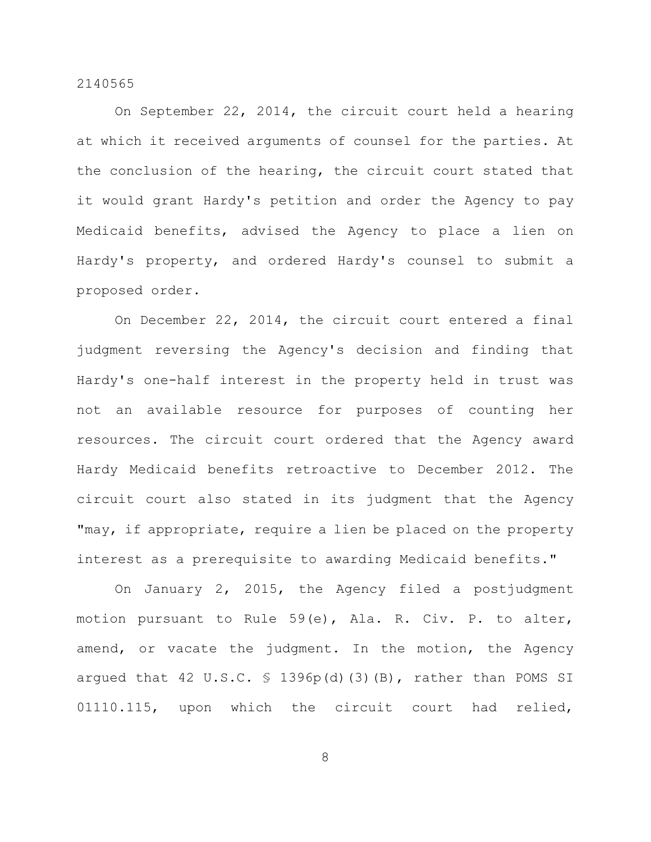On September 22, 2014, the circuit court held a hearing at which it received arguments of counsel for the parties. At the conclusion of the hearing, the circuit court stated that it would grant Hardy's petition and order the Agency to pay Medicaid benefits, advised the Agency to place a lien on Hardy's property, and ordered Hardy's counsel to submit a proposed order.

On December 22, 2014, the circuit court entered a final judgment reversing the Agency's decision and finding that Hardy's one-half interest in the property held in trust was not an available resource for purposes of counting her resources. The circuit court ordered that the Agency award Hardy Medicaid benefits retroactive to December 2012. The circuit court also stated in its judgment that the Agency "may, if appropriate, require a lien be placed on the property interest as a prerequisite to awarding Medicaid benefits."

On January 2, 2015, the Agency filed a postjudgment motion pursuant to Rule 59(e), Ala. R. Civ. P. to alter, amend, or vacate the judgment. In the motion, the Agency argued that 42 U.S.C.  $\frac{1396p(d)}{3}$  (B), rather than POMS SI 01110.115, upon which the circuit court had relied,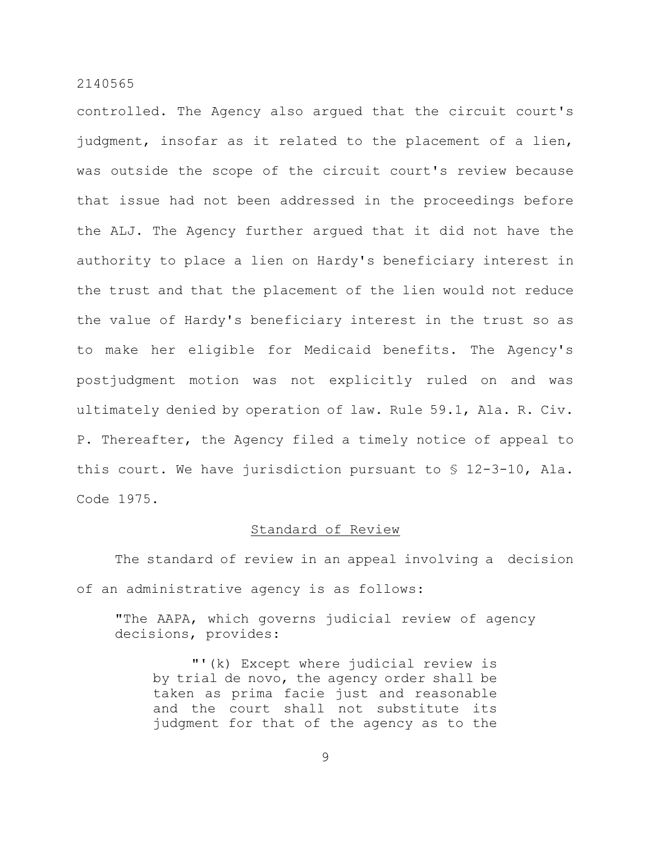controlled. The Agency also argued that the circuit court's judgment, insofar as it related to the placement of a lien, was outside the scope of the circuit court's review because that issue had not been addressed in the proceedings before the ALJ. The Agency further argued that it did not have the authority to place a lien on Hardy's beneficiary interest in the trust and that the placement of the lien would not reduce the value of Hardy's beneficiary interest in the trust so as to make her eligible for Medicaid benefits. The Agency's postjudgment motion was not explicitly ruled on and was ultimately denied by operation of law. Rule 59.1, Ala. R. Civ. P. Thereafter, the Agency filed a timely notice of appeal to this court. We have jurisdiction pursuant to § 12-3-10, Ala. Code 1975.

#### Standard of Review

The standard of review in an appeal involving a decision of an administrative agency is as follows:

"The AAPA, which governs judicial review of agency decisions, provides:

"'(k) Except where judicial review is by trial de novo, the agency order shall be taken as prima facie just and reasonable and the court shall not substitute its judgment for that of the agency as to the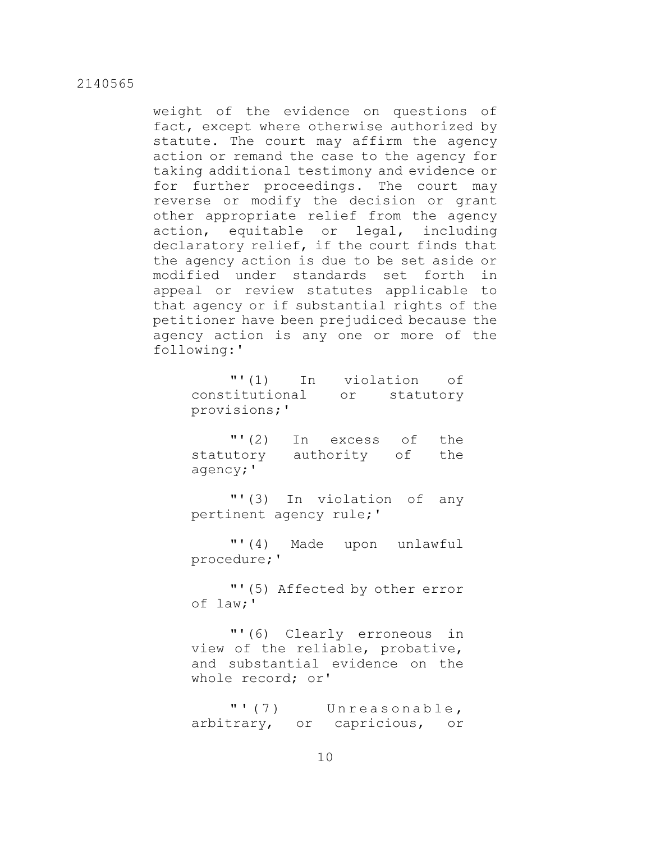weight of the evidence on questions of fact, except where otherwise authorized by statute. The court may affirm the agency action or remand the case to the agency for taking additional testimony and evidence or for further proceedings. The court may reverse or modify the decision or grant other appropriate relief from the agency action, equitable or legal, including declaratory relief, if the court finds that the agency action is due to be set aside or modified under standards set forth in appeal or review statutes applicable to that agency or if substantial rights of the petitioner have been prejudiced because the agency action is any one or more of the following:'

> "'(1) In violation of constitutional or statutory provisions;'

> "'(2) In excess of the statutory authority of the agency;'

> "'(3) In violation of any pertinent agency rule;'

> "'(4) Made upon unlawful procedure;'

> "'(5) Affected by other error of law;'

> "'(6) Clearly erroneous in view of the reliable, probative, and substantial evidence on the whole record; or'

> "' (7) Unreasonable, arbitrary, or capricious, or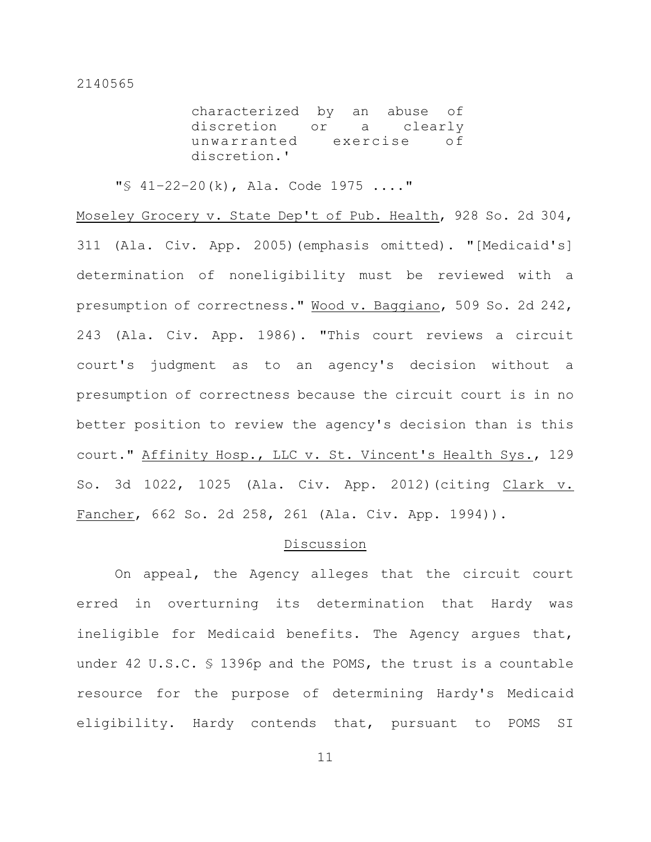characterized by an abuse of discretion or a clearly unwarranted exercise of discretion.'

"§ 41–22–20(k), Ala. Code 1975 ...."

Moseley Grocery v. State Dep't of Pub. Health, 928 So. 2d 304, 311 (Ala. Civ. App. 2005)(emphasis omitted). "[Medicaid's] determination of noneligibility must be reviewed with a presumption of correctness." Wood v. Baggiano, 509 So. 2d 242, 243 (Ala. Civ. App. 1986). "This court reviews a circuit court's judgment as to an agency's decision without a presumption of correctness because the circuit court is in no better position to review the agency's decision than is this court." Affinity Hosp., LLC v. St. Vincent's Health Sys., 129 So. 3d 1022, 1025 (Ala. Civ. App. 2012)(citing Clark v. Fancher, 662 So. 2d 258, 261 (Ala. Civ. App. 1994)).

## Discussion

On appeal, the Agency alleges that the circuit court erred in overturning its determination that Hardy was ineligible for Medicaid benefits. The Agency argues that, under 42 U.S.C. § 1396p and the POMS, the trust is a countable resource for the purpose of determining Hardy's Medicaid eligibility. Hardy contends that, pursuant to POMS SI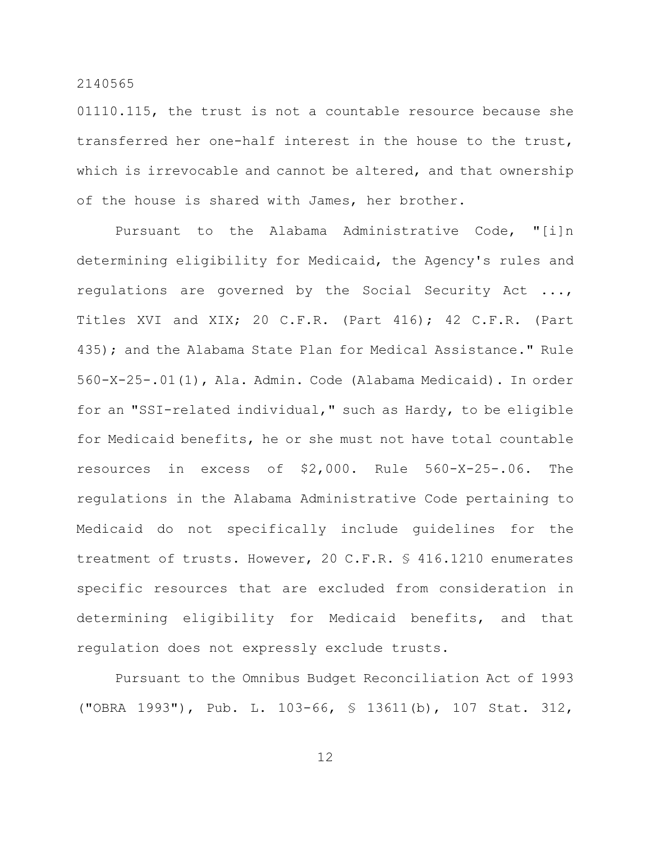01110.115, the trust is not a countable resource because she transferred her one-half interest in the house to the trust, which is irrevocable and cannot be altered, and that ownership of the house is shared with James, her brother.

Pursuant to the Alabama Administrative Code, "[i]n determining eligibility for Medicaid, the Agency's rules and regulations are governed by the Social Security Act ..., Titles XVI and XIX; 20 C.F.R. (Part 416); 42 C.F.R. (Part 435); and the Alabama State Plan for Medical Assistance." Rule 560-X-25-.01(1), Ala. Admin. Code (Alabama Medicaid). In order for an "SSI-related individual," such as Hardy, to be eligible for Medicaid benefits, he or she must not have total countable resources in excess of \$2,000. Rule 560-X-25-.06. The regulations in the Alabama Administrative Code pertaining to Medicaid do not specifically include guidelines for the treatment of trusts. However, 20 C.F.R. § 416.1210 enumerates specific resources that are excluded from consideration in determining eligibility for Medicaid benefits, and that regulation does not expressly exclude trusts.

Pursuant to the Omnibus Budget Reconciliation Act of 1993 ("OBRA 1993"), Pub. L. 103-66, § 13611(b), 107 Stat. 312,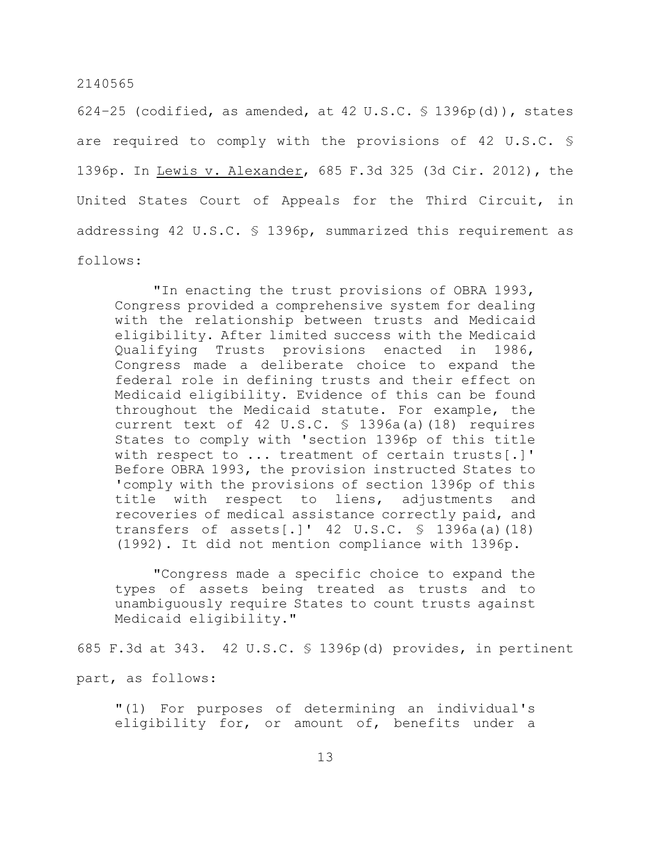624-25 (codified, as amended, at 42 U.S.C.  $\frac{1}{5}$  1396p(d)), states are required to comply with the provisions of 42 U.S.C. § 1396p. In Lewis v. Alexander, 685 F.3d 325 (3d Cir. 2012), the United States Court of Appeals for the Third Circuit, in addressing 42 U.S.C. § 1396p, summarized this requirement as follows:

"In enacting the trust provisions of OBRA 1993, Congress provided a comprehensive system for dealing with the relationship between trusts and Medicaid eligibility. After limited success with the Medicaid Qualifying Trusts provisions enacted in 1986, Congress made a deliberate choice to expand the federal role in defining trusts and their effect on Medicaid eligibility. Evidence of this can be found throughout the Medicaid statute. For example, the current text of 42 U.S.C.  $\frac{1396a}{a}$  (18) requires States to comply with 'section 1396p of this title with respect to ... treatment of certain trusts[.]' Before OBRA 1993, the provision instructed States to 'comply with the provisions of section 1396p of this title with respect to liens, adjustments and recoveries of medical assistance correctly paid, and transfers of assets[.]'  $42 \text{ U.S.C. }$  \$ 1396a(a)(18) (1992). It did not mention compliance with 1396p.

"Congress made a specific choice to expand the types of assets being treated as trusts and to unambiguously require States to count trusts against Medicaid eligibility."

685 F.3d at 343. 42 U.S.C. § 1396p(d) provides, in pertinent

part, as follows:

"(1) For purposes of determining an individual's eligibility for, or amount of, benefits under a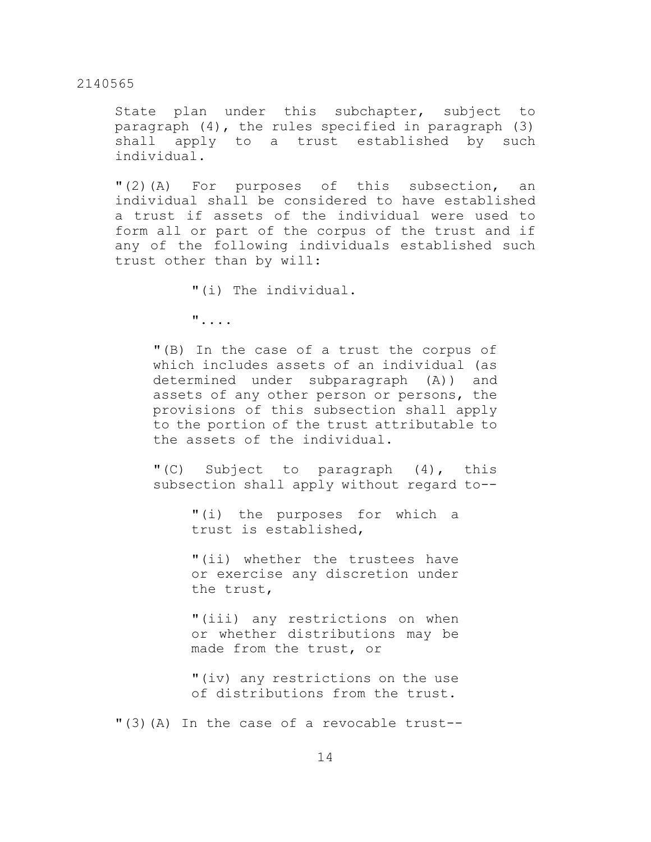State plan under this subchapter, subject to paragraph (4), the rules specified in paragraph (3) shall apply to a trust established by such individual.

"(2)(A) For purposes of this subsection, an individual shall be considered to have established a trust if assets of the individual were used to form all or part of the corpus of the trust and if any of the following individuals established such trust other than by will:

"(i) The individual.

"....

"(B) In the case of a trust the corpus of which includes assets of an individual (as determined under subparagraph (A)) and assets of any other person or persons, the provisions of this subsection shall apply to the portion of the trust attributable to the assets of the individual.

"(C) Subject to paragraph (4), this subsection shall apply without regard to--

> "(i) the purposes for which a trust is established,

> "(ii) whether the trustees have or exercise any discretion under the trust,

> "(iii) any restrictions on when or whether distributions may be made from the trust, or

> "(iv) any restrictions on the use of distributions from the trust.

"(3)(A) In the case of a revocable trust--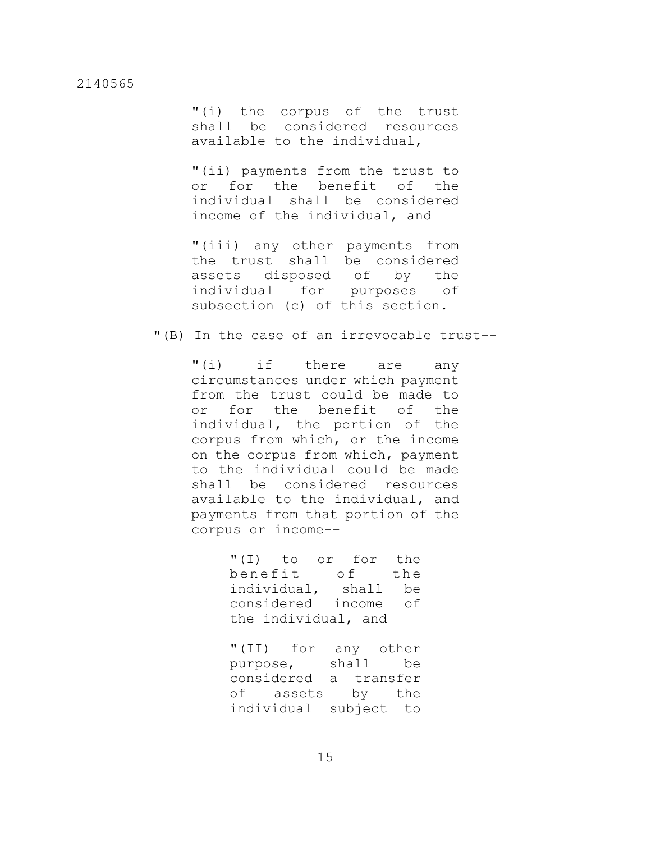"(i) the corpus of the trust shall be considered resources available to the individual,

"(ii) payments from the trust to or for the benefit of the individual shall be considered income of the individual, and

"(iii) any other payments from the trust shall be considered assets disposed of by the individual for purposes of subsection (c) of this section.

"(B) In the case of an irrevocable trust--

"(i) if there are any circumstances under which payment from the trust could be made to<br>or for the benefit of the for the benefit of the individual, the portion of the corpus from which, or the income on the corpus from which, payment to the individual could be made shall be considered resources available to the individual, and payments from that portion of the corpus or income--

> "(I) to or for the benefit of the individual, shall be considered income of the individual, and

> "(II) for any other purpose, shall be considered a transfer of assets by the individual subject to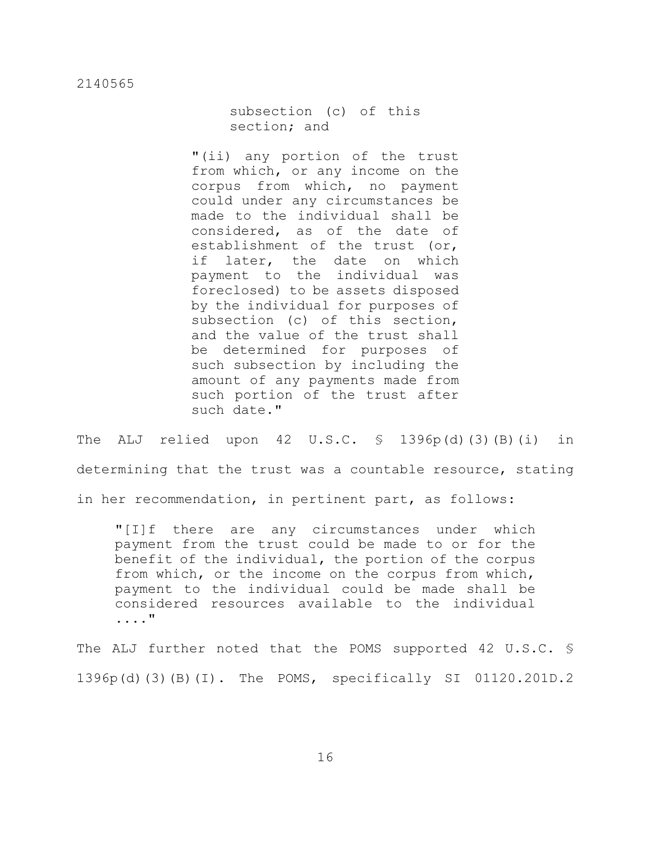subsection (c) of this section; and

"(ii) any portion of the trust from which, or any income on the corpus from which, no payment could under any circumstances be made to the individual shall be considered, as of the date of establishment of the trust (or, if later, the date on which payment to the individual was foreclosed) to be assets disposed by the individual for purposes of subsection (c) of this section, and the value of the trust shall be determined for purposes of such subsection by including the amount of any payments made from such portion of the trust after such date."

The ALJ relied upon  $42 \text{ U.S.C. }$   $\frac{1396p(d)}{(3)(B)(i)}$  in determining that the trust was a countable resource, stating in her recommendation, in pertinent part, as follows:

"[I]f there are any circumstances under which payment from the trust could be made to or for the benefit of the individual, the portion of the corpus from which, or the income on the corpus from which, payment to the individual could be made shall be considered resources available to the individual ...."

The ALJ further noted that the POMS supported 42 U.S.C. § 1396p(d)(3)(B)(I). The POMS, specifically SI 01120.201D.2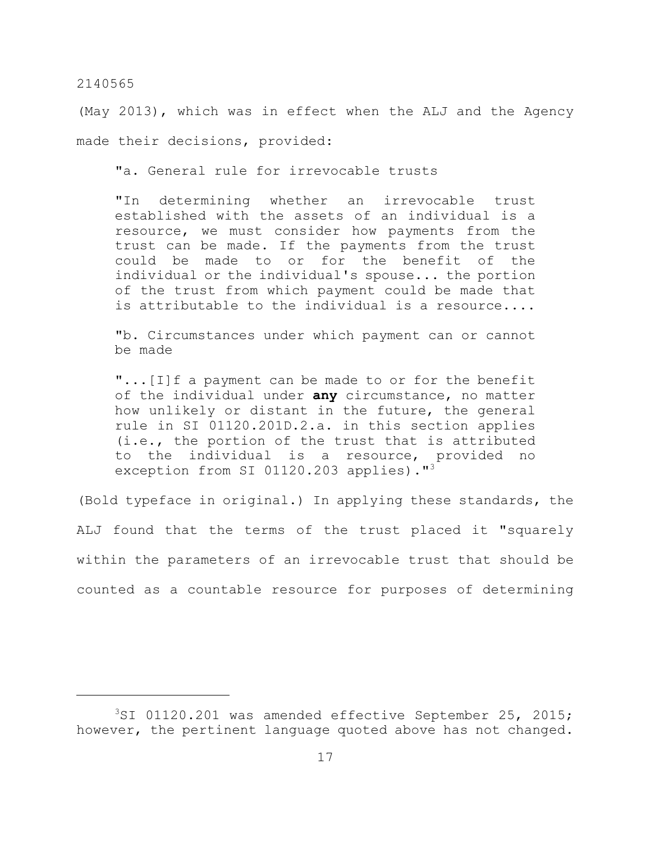(May 2013), which was in effect when the ALJ and the Agency made their decisions, provided:

"a. General rule for irrevocable trusts

"In determining whether an irrevocable trust established with the assets of an individual is a resource, we must consider how payments from the trust can be made. If the payments from the trust could be made to or for the benefit of the individual or the individual's spouse... the portion of the trust from which payment could be made that is attributable to the individual is a resource....

"b. Circumstances under which payment can or cannot be made

"...[I]f a payment can be made to or for the benefit of the individual under **any** circumstance, no matter how unlikely or distant in the future, the general rule in SI 01120.201D.2.a. in this section applies (i.e., the portion of the trust that is attributed to the individual is a resource, provided no exception from SI 01120.203 applies)."<sup>3</sup>

(Bold typeface in original.) In applying these standards, the ALJ found that the terms of the trust placed it "squarely within the parameters of an irrevocable trust that should be counted as a countable resource for purposes of determining

 $3ST$  01120.201 was amended effective September 25, 2015; however, the pertinent language quoted above has not changed.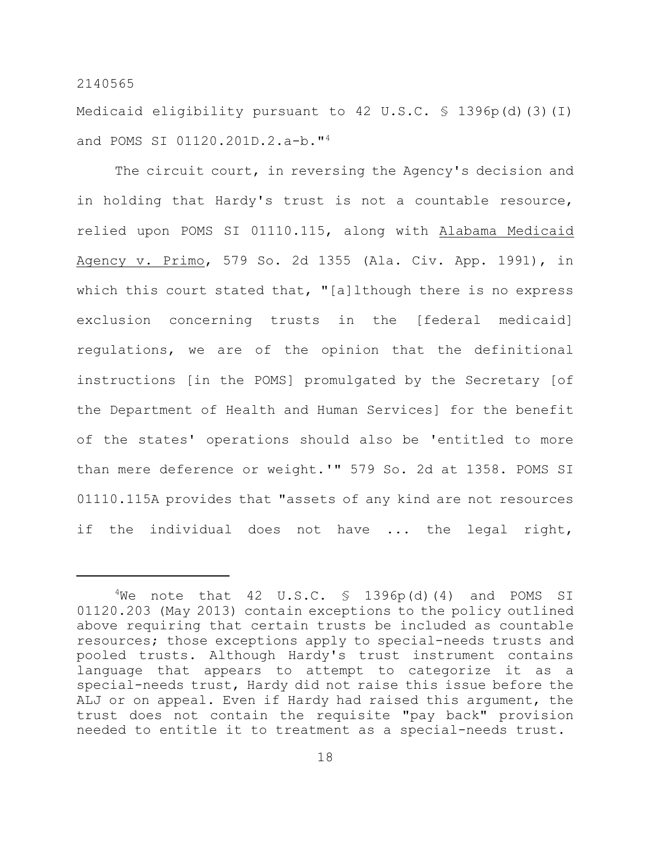Medicaid eligibility pursuant to 42 U.S.C. § 1396p(d)(3)(I) and POMS SI 01120.201D.2.a-b."<sup>4</sup>

The circuit court, in reversing the Agency's decision and in holding that Hardy's trust is not a countable resource, relied upon POMS SI 01110.115, along with Alabama Medicaid Agency v. Primo, 579 So. 2d 1355 (Ala. Civ. App. 1991), in which this court stated that, "[a]lthough there is no express exclusion concerning trusts in the [federal medicaid] regulations, we are of the opinion that the definitional instructions [in the POMS] promulgated by the Secretary [of the Department of Health and Human Services] for the benefit of the states' operations should also be 'entitled to more than mere deference or weight.'" 579 So. 2d at 1358. POMS SI 01110.115A provides that "assets of any kind are not resources if the individual does not have ... the legal right,

 $4$ We note that 42 U.S.C. § 1396p(d)(4) and POMS SI 01120.203 (May 2013) contain exceptions to the policy outlined above requiring that certain trusts be included as countable resources; those exceptions apply to special-needs trusts and pooled trusts. Although Hardy's trust instrument contains language that appears to attempt to categorize it as a special-needs trust, Hardy did not raise this issue before the ALJ or on appeal. Even if Hardy had raised this argument, the trust does not contain the requisite "pay back" provision needed to entitle it to treatment as a special-needs trust.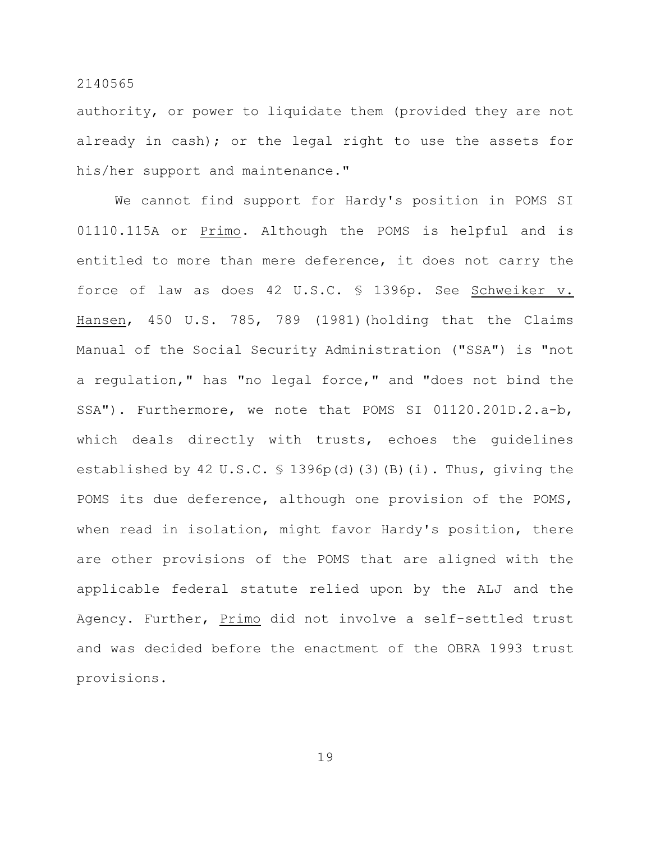authority, or power to liquidate them (provided they are not already in cash); or the legal right to use the assets for his/her support and maintenance."

We cannot find support for Hardy's position in POMS SI 01110.115A or Primo. Although the POMS is helpful and is entitled to more than mere deference, it does not carry the force of law as does 42 U.S.C. § 1396p. See Schweiker v. Hansen, 450 U.S. 785, 789 (1981)(holding that the Claims Manual of the Social Security Administration ("SSA") is "not a regulation," has "no legal force," and "does not bind the SSA"). Furthermore, we note that POMS SI 01120.201D.2.a-b, which deals directly with trusts, echoes the guidelines established by 42 U.S.C. § 1396p(d)(3)(B)(i). Thus, giving the POMS its due deference, although one provision of the POMS, when read in isolation, might favor Hardy's position, there are other provisions of the POMS that are aligned with the applicable federal statute relied upon by the ALJ and the Agency. Further, Primo did not involve a self-settled trust and was decided before the enactment of the OBRA 1993 trust provisions.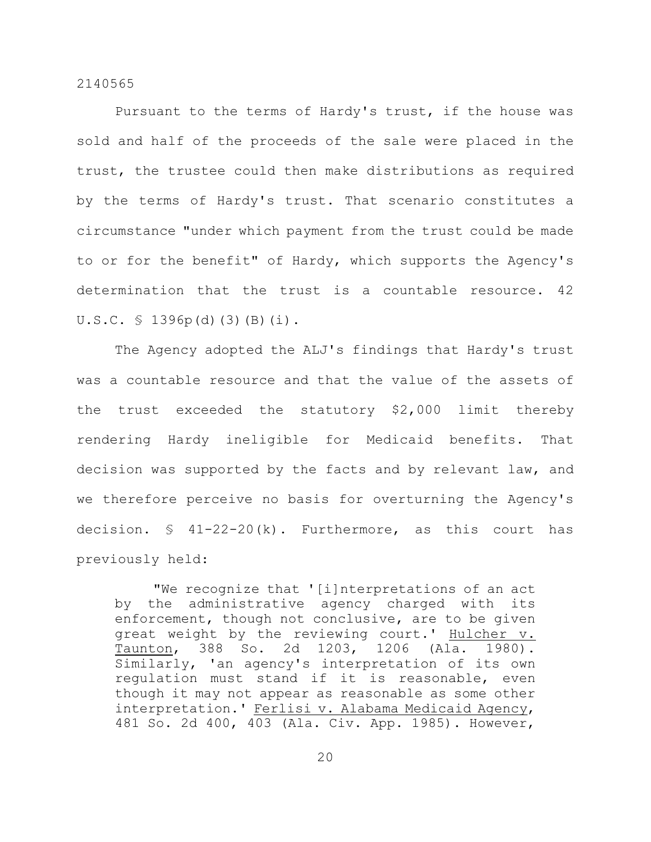Pursuant to the terms of Hardy's trust, if the house was sold and half of the proceeds of the sale were placed in the trust, the trustee could then make distributions as required by the terms of Hardy's trust. That scenario constitutes a circumstance "under which payment from the trust could be made to or for the benefit" of Hardy, which supports the Agency's determination that the trust is a countable resource. 42 U.S.C. § 1396p(d)(3)(B)(i).

The Agency adopted the ALJ's findings that Hardy's trust was a countable resource and that the value of the assets of the trust exceeded the statutory \$2,000 limit thereby rendering Hardy ineligible for Medicaid benefits. That decision was supported by the facts and by relevant law, and we therefore perceive no basis for overturning the Agency's decision.  $\frac{1}{2}$  41-22-20(k). Furthermore, as this court has previously held:

"We recognize that '[i]nterpretations of an act by the administrative agency charged with its enforcement, though not conclusive, are to be given great weight by the reviewing court.' Hulcher v. Taunton, 388 So. 2d 1203, 1206 (Ala. 1980). Similarly, 'an agency's interpretation of its own regulation must stand if it is reasonable, even though it may not appear as reasonable as some other interpretation.' Ferlisi v. Alabama Medicaid Agency, 481 So. 2d 400, 403 (Ala. Civ. App. 1985). However,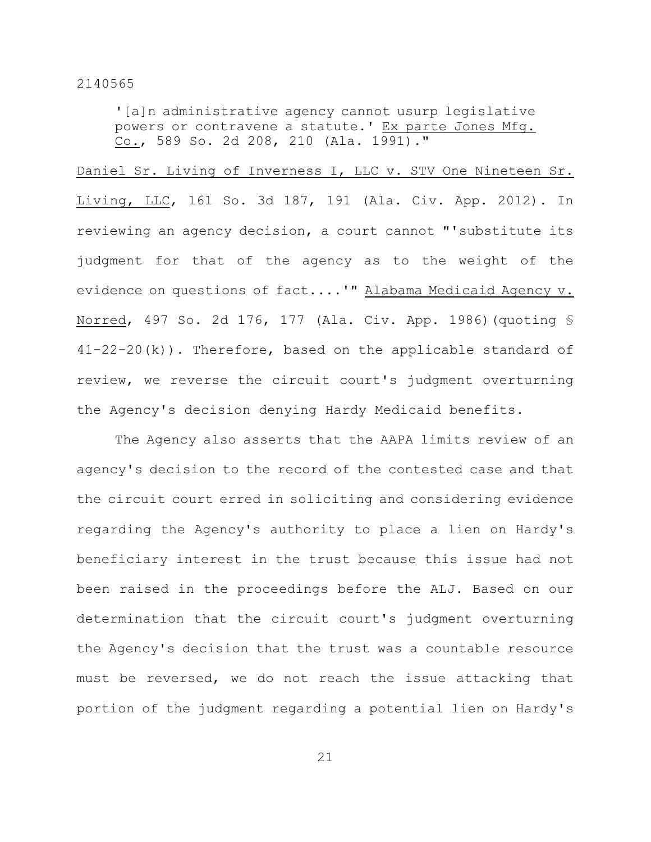'[a]n administrative agency cannot usurp legislative powers or contravene a statute.' Ex parte Jones Mfg. Co., 589 So. 2d 208, 210 (Ala. 1991)."

Daniel Sr. Living of Inverness I, LLC v. STV One Nineteen Sr. Living, LLC, 161 So. 3d 187, 191 (Ala. Civ. App. 2012). In reviewing an agency decision, a court cannot "'substitute its judgment for that of the agency as to the weight of the evidence on questions of fact....'" Alabama Medicaid Agency v. Norred, 497 So. 2d 176, 177 (Ala. Civ. App. 1986)(quoting § 41-22-20(k)). Therefore, based on the applicable standard of review, we reverse the circuit court's judgment overturning the Agency's decision denying Hardy Medicaid benefits.

The Agency also asserts that the AAPA limits review of an agency's decision to the record of the contested case and that the circuit court erred in soliciting and considering evidence regarding the Agency's authority to place a lien on Hardy's beneficiary interest in the trust because this issue had not been raised in the proceedings before the ALJ. Based on our determination that the circuit court's judgment overturning the Agency's decision that the trust was a countable resource must be reversed, we do not reach the issue attacking that portion of the judgment regarding a potential lien on Hardy's